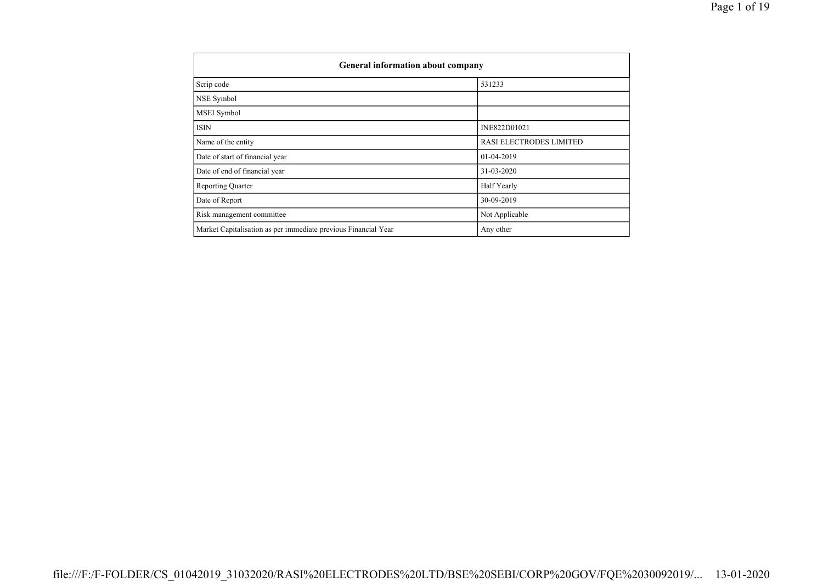| <b>General information about company</b>                       |                         |  |  |  |  |  |  |
|----------------------------------------------------------------|-------------------------|--|--|--|--|--|--|
| Scrip code                                                     | 531233                  |  |  |  |  |  |  |
| NSE Symbol                                                     |                         |  |  |  |  |  |  |
| <b>MSEI</b> Symbol                                             |                         |  |  |  |  |  |  |
| <b>ISIN</b>                                                    | INE822D01021            |  |  |  |  |  |  |
| Name of the entity                                             | RASI ELECTRODES LIMITED |  |  |  |  |  |  |
| Date of start of financial year                                | 01-04-2019              |  |  |  |  |  |  |
| Date of end of financial year                                  | 31-03-2020              |  |  |  |  |  |  |
| <b>Reporting Quarter</b>                                       | Half Yearly             |  |  |  |  |  |  |
| Date of Report                                                 | 30-09-2019              |  |  |  |  |  |  |
| Risk management committee                                      | Not Applicable          |  |  |  |  |  |  |
| Market Capitalisation as per immediate previous Financial Year | Any other               |  |  |  |  |  |  |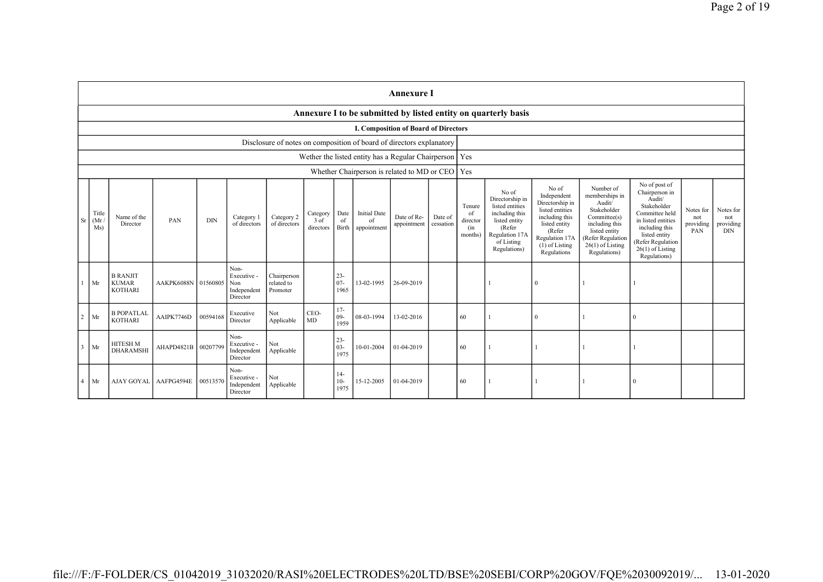|                                                                                                                                                                                                                                                                                                                                                                                                                                                                                                                                                                                                                                                                                                                                                                                                                                                                                                                                                                                                                                                                                   | <b>Annexure I</b> |                                                                      |            |          |                                                       |                                       |                                             |                          |                                             |                                             |     |     |                                                                |          |  |  |  |
|-----------------------------------------------------------------------------------------------------------------------------------------------------------------------------------------------------------------------------------------------------------------------------------------------------------------------------------------------------------------------------------------------------------------------------------------------------------------------------------------------------------------------------------------------------------------------------------------------------------------------------------------------------------------------------------------------------------------------------------------------------------------------------------------------------------------------------------------------------------------------------------------------------------------------------------------------------------------------------------------------------------------------------------------------------------------------------------|-------------------|----------------------------------------------------------------------|------------|----------|-------------------------------------------------------|---------------------------------------|---------------------------------------------|--------------------------|---------------------------------------------|---------------------------------------------|-----|-----|----------------------------------------------------------------|----------|--|--|--|
|                                                                                                                                                                                                                                                                                                                                                                                                                                                                                                                                                                                                                                                                                                                                                                                                                                                                                                                                                                                                                                                                                   |                   |                                                                      |            |          |                                                       |                                       |                                             |                          |                                             |                                             |     |     | Annexure I to be submitted by listed entity on quarterly basis |          |  |  |  |
|                                                                                                                                                                                                                                                                                                                                                                                                                                                                                                                                                                                                                                                                                                                                                                                                                                                                                                                                                                                                                                                                                   |                   |                                                                      |            |          |                                                       |                                       |                                             |                          |                                             | <b>I. Composition of Board of Directors</b> |     |     |                                                                |          |  |  |  |
|                                                                                                                                                                                                                                                                                                                                                                                                                                                                                                                                                                                                                                                                                                                                                                                                                                                                                                                                                                                                                                                                                   |                   | Disclosure of notes on composition of board of directors explanatory |            |          |                                                       |                                       |                                             |                          |                                             |                                             |     |     |                                                                |          |  |  |  |
|                                                                                                                                                                                                                                                                                                                                                                                                                                                                                                                                                                                                                                                                                                                                                                                                                                                                                                                                                                                                                                                                                   |                   | Wether the listed entity has a Regular Chairperson                   |            |          |                                                       |                                       |                                             |                          |                                             |                                             | Yes |     |                                                                |          |  |  |  |
|                                                                                                                                                                                                                                                                                                                                                                                                                                                                                                                                                                                                                                                                                                                                                                                                                                                                                                                                                                                                                                                                                   |                   |                                                                      |            |          |                                                       |                                       |                                             |                          | Whether Chairperson is related to MD or CEO |                                             |     | Yes |                                                                |          |  |  |  |
| No of post of<br>No of<br>Number of<br>No of<br>Chairperson in<br>Independent<br>memberships in<br>Directorship in<br>Audit/<br>Directorship in<br>Audit/<br>Stakeholder<br>listed entities<br>Tenure<br>Stakeholder<br>listed entities<br>Notes for<br>Title<br><b>Initial Date</b><br>including this<br>Committee held<br>Date<br>Category<br>of<br>including this<br>Committee(s)<br>Name of the<br>Category 2<br>Date of Re-<br>Date of<br>Category 1<br>not<br>(Mr)<br><b>Sr</b><br>PAN<br><b>DIN</b><br>3 of<br>of<br>listed entity<br>in listed entities<br>of<br>director<br>including this<br>Director<br>of directors<br>of directors<br>cessation<br>listed entity<br>appointment<br>Ms)<br>including this<br>directors<br><b>Birth</b><br>appointment<br>(Refer<br>(in<br>PAN<br>(Refer<br>listed entity<br>Regulation 17A<br>listed entity<br>months)<br>Regulation 17A<br>(Refer Regulation<br>of Listing<br><b>Refer Regulation</b><br>$26(1)$ of Listing<br>$(1)$ of Listing<br>$26(1)$ of Listing<br>Regulations)<br>Regulations<br>Regulations)<br>Regulations) |                   |                                                                      |            |          |                                                       | providing                             | Notes for<br>not<br>providing<br><b>DIN</b> |                          |                                             |                                             |     |     |                                                                |          |  |  |  |
|                                                                                                                                                                                                                                                                                                                                                                                                                                                                                                                                                                                                                                                                                                                                                                                                                                                                                                                                                                                                                                                                                   | Mr                | <b>B RANJIT</b><br><b>KUMAR</b><br><b>KOTHARI</b>                    | AAKPK6088N | 01560805 | Non-<br>Executive -<br>Non<br>Independent<br>Director | Chairperson<br>related to<br>Promoter |                                             | $23 -$<br>$07 -$<br>1965 | 13-02-1995                                  | 26-09-2019                                  |     |     |                                                                | $\theta$ |  |  |  |
| 2                                                                                                                                                                                                                                                                                                                                                                                                                                                                                                                                                                                                                                                                                                                                                                                                                                                                                                                                                                                                                                                                                 | Mr                | <b>B POPATLAL</b><br><b>KOTHARI</b>                                  | AAIPK7746D | 00594168 | Executive<br>Director                                 | Not<br>Applicable                     | CEO-<br>MD                                  | $17-$<br>$09-$<br>1959   | 08-03-1994                                  | 13-02-2016                                  |     | 60  |                                                                | $\Omega$ |  |  |  |
| $\overline{\mathbf{3}}$                                                                                                                                                                                                                                                                                                                                                                                                                                                                                                                                                                                                                                                                                                                                                                                                                                                                                                                                                                                                                                                           | Mr                | <b>HITESH M</b><br><b>DHARAMSHI</b>                                  | AHAPD4821B | 00207799 | Non-<br>Executive -<br>Independent<br>Director        | Not<br>Applicable                     |                                             | $23 -$<br>$03 -$<br>1975 | 10-01-2004                                  | 01-04-2019                                  |     | 60  |                                                                |          |  |  |  |
|                                                                                                                                                                                                                                                                                                                                                                                                                                                                                                                                                                                                                                                                                                                                                                                                                                                                                                                                                                                                                                                                                   | Mr                | AJAY GOYAL                                                           | AAFPG4594E | 0051357  | Non-<br>Executive -<br>Independent<br>Director        | Not<br>Applicable                     |                                             | $14-$<br>$10-$<br>1975   | 15-12-2005                                  | 01-04-2019                                  |     | 60  |                                                                |          |  |  |  |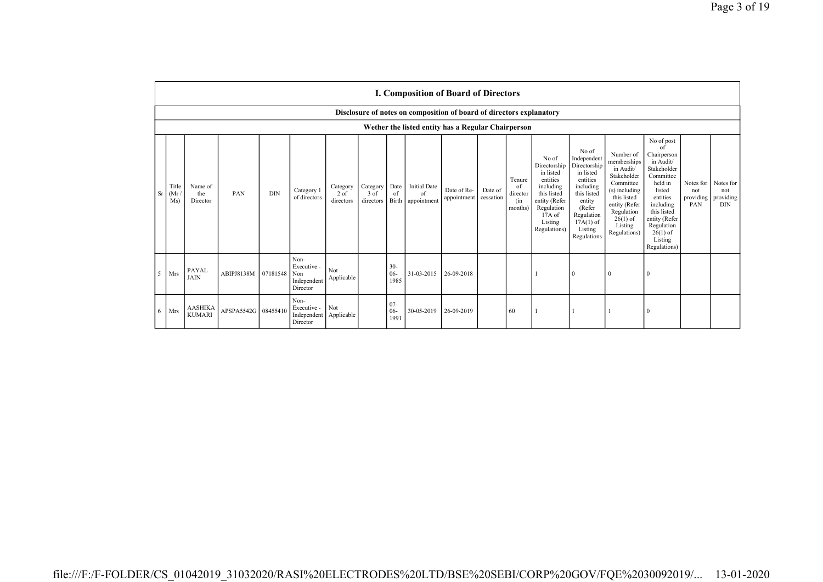|   | I. Composition of Board of Directors               |                                 |                     |            |                                                       |                                 |                                 |                          |                                                                      |                            |                      |                                            |                                                                                                                                                  |                                                                                                                                                                      |                                                                                                                                                                           |                                                                                                                                                                                                               |                                      |                                             |
|---|----------------------------------------------------|---------------------------------|---------------------|------------|-------------------------------------------------------|---------------------------------|---------------------------------|--------------------------|----------------------------------------------------------------------|----------------------------|----------------------|--------------------------------------------|--------------------------------------------------------------------------------------------------------------------------------------------------|----------------------------------------------------------------------------------------------------------------------------------------------------------------------|---------------------------------------------------------------------------------------------------------------------------------------------------------------------------|---------------------------------------------------------------------------------------------------------------------------------------------------------------------------------------------------------------|--------------------------------------|---------------------------------------------|
|   |                                                    |                                 |                     |            |                                                       |                                 |                                 |                          | Disclosure of notes on composition of board of directors explanatory |                            |                      |                                            |                                                                                                                                                  |                                                                                                                                                                      |                                                                                                                                                                           |                                                                                                                                                                                                               |                                      |                                             |
|   | Wether the listed entity has a Regular Chairperson |                                 |                     |            |                                                       |                                 |                                 |                          |                                                                      |                            |                      |                                            |                                                                                                                                                  |                                                                                                                                                                      |                                                                                                                                                                           |                                                                                                                                                                                                               |                                      |                                             |
|   | Title<br>Sr<br>(Mr)<br>Ms)                         | Name of<br>the<br>Director      | PAN                 | <b>DIN</b> | Category 1<br>of directors                            | Category<br>$2$ of<br>directors | Category<br>$3$ of<br>directors | Date<br>of<br>Birth      | <b>Initial Date</b><br>of<br>appointment                             | Date of Re-<br>appointment | Date of<br>cessation | Tenure<br>of<br>director<br>(in<br>months) | No of<br>Directorship<br>in listed<br>entities<br>including<br>this listed<br>entity (Refer<br>Regulation<br>$17A$ of<br>Listing<br>Regulations) | No of<br>Independent<br>Directorship<br>in listed<br>entities<br>including<br>this listed<br>entity<br>(Refer<br>Regulation<br>$17A(1)$ of<br>Listing<br>Regulations | Number of<br>memberships<br>in Audit/<br>Stakeholder<br>Committee<br>(s) including<br>this listed<br>entity (Refer<br>Regulation<br>$26(1)$ of<br>Listing<br>Regulations) | No of post<br>of<br>Chairperson<br>in Audit/<br>Stakeholder<br>Committee<br>held in<br>listed<br>entities<br>including<br>this listed<br>entity (Refer<br>Regulation<br>$26(1)$ of<br>Listing<br>Regulations) | Notes for<br>not<br>providing<br>PAN | Notes for<br>not<br>providing<br><b>DIN</b> |
| 5 | Mrs                                                | PAYAL<br><b>JAIN</b>            | ABIPJ8138M          | 07181548   | Non-<br>Executive -<br>Non<br>Independent<br>Director | Not<br>Applicable               |                                 | $30 -$<br>$06 -$<br>1985 | 31-03-2015                                                           | 26-09-2018                 |                      |                                            |                                                                                                                                                  | $\mathbf{0}$                                                                                                                                                         | $\mathbf{0}$                                                                                                                                                              | $\theta$                                                                                                                                                                                                      |                                      |                                             |
| 6 | Mrs                                                | <b>AASHIKA</b><br><b>KUMARI</b> | APSPA5542G 08455410 |            | Non-<br>Executive -<br>Independent<br>Director        | Not<br>Applicable               |                                 | $07 -$<br>$06 -$<br>1991 | 30-05-2019                                                           | 26-09-2019                 |                      | 60                                         |                                                                                                                                                  |                                                                                                                                                                      |                                                                                                                                                                           | $\theta$                                                                                                                                                                                                      |                                      |                                             |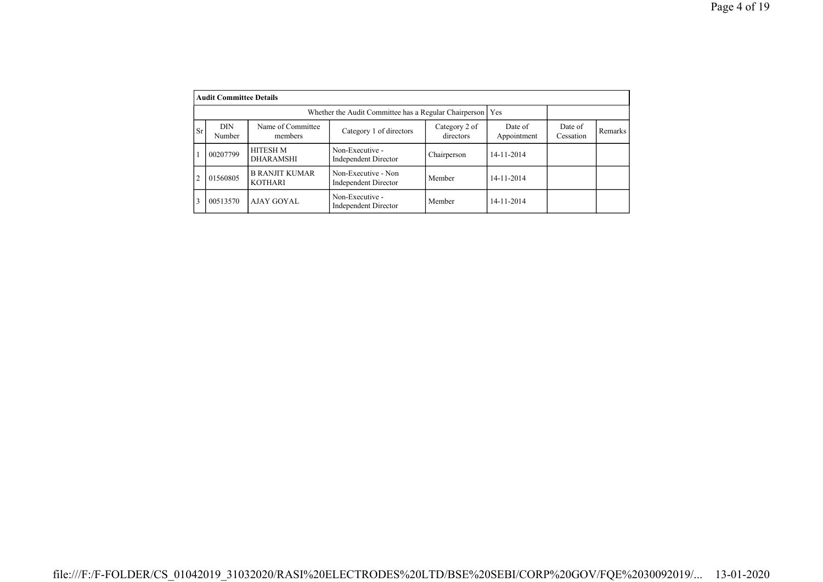|           | <b>Audit Committee Details</b> |                                         |                                                       |                      |                |  |  |
|-----------|--------------------------------|-----------------------------------------|-------------------------------------------------------|----------------------|----------------|--|--|
|           |                                |                                         | Whether the Audit Committee has a Regular Chairperson |                      | <b>Yes</b>     |  |  |
| <b>Sr</b> | <b>DIN</b><br>Number           | Name of Committee<br>members            | Date of<br>Appointment                                | Date of<br>Cessation | <b>Remarks</b> |  |  |
|           | 00207799                       | <b>HITESH M</b><br><b>DHARAMSHI</b>     | Non-Executive -<br><b>Independent Director</b>        | Chairperson          | 14-11-2014     |  |  |
|           | 01560805                       | <b>B RANJIT KUMAR</b><br><b>KOTHARI</b> | Non-Executive - Non<br>Independent Director           | Member               | 14-11-2014     |  |  |
| 3         | 00513570                       | AJAY GOYAL                              | Non-Executive -<br>Independent Director               | Member               | 14-11-2014     |  |  |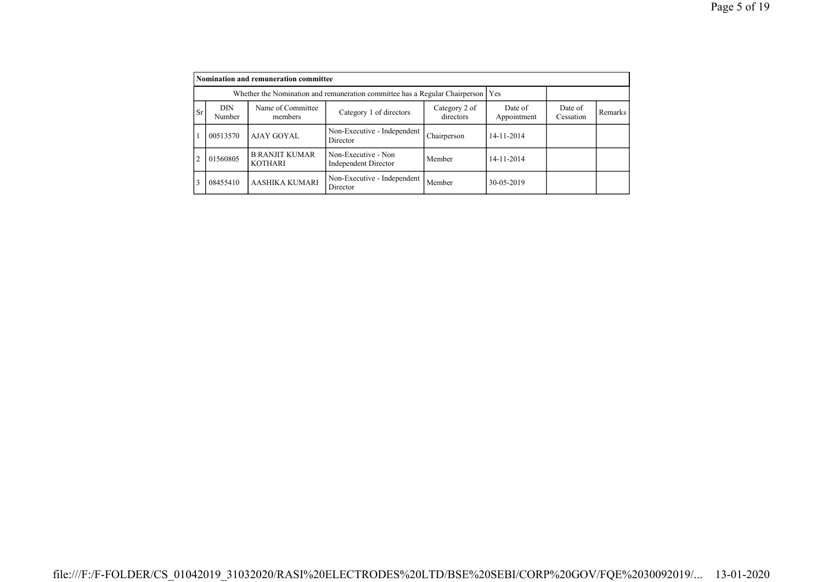|                |                                                                                   | Nomination and remuneration committee   |                                             |                      |                |  |  |
|----------------|-----------------------------------------------------------------------------------|-----------------------------------------|---------------------------------------------|----------------------|----------------|--|--|
|                | Whether the Nomination and remuneration committee has a Regular Chairperson   Yes |                                         |                                             |                      |                |  |  |
| <b>Sr</b>      | DIN<br>Number                                                                     | Name of Committee<br>members            | Date of<br>Appointment                      | Date of<br>Cessation | <b>Remarks</b> |  |  |
|                | 00513570                                                                          | AJAY GOYAL                              | Non-Executive - Independent<br>Director     | Chairperson          | 14-11-2014     |  |  |
| $\overline{c}$ | 01560805                                                                          | <b>B RANJIT KUMAR</b><br><b>KOTHARI</b> | Non-Executive - Non<br>Independent Director | Member               | 14-11-2014     |  |  |
| 3              | 08455410                                                                          | AASHIKA KUMARI                          | Non-Executive - Independent<br>Director     | Member               | 30-05-2019     |  |  |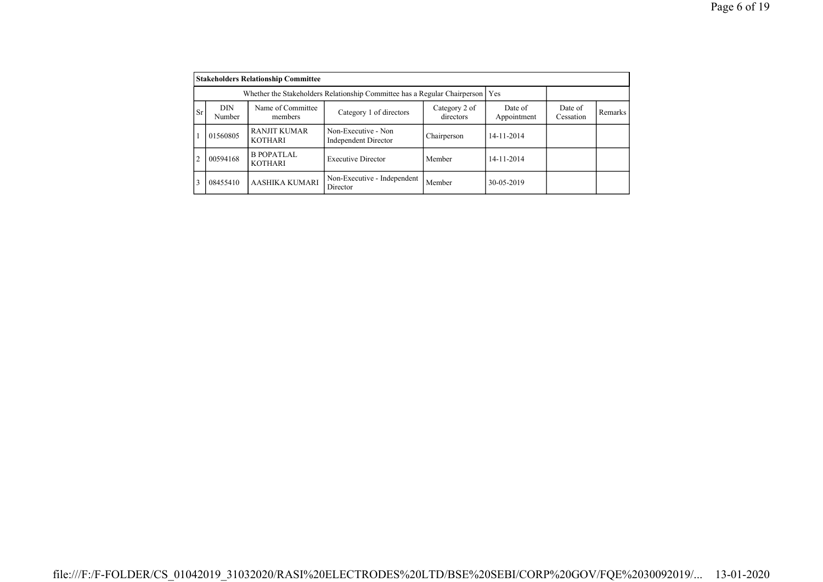|                |                      | <b>Stakeholders Relationship Committee</b>                                      |                                             |                      |                |  |  |
|----------------|----------------------|---------------------------------------------------------------------------------|---------------------------------------------|----------------------|----------------|--|--|
|                |                      | Whether the Stakeholders Relationship Committee has a Regular Chairperson   Yes |                                             |                      |                |  |  |
| <sub>Sr</sub>  | <b>DIN</b><br>Number | Name of Committee<br>members                                                    | Date of<br>Appointment                      | Date of<br>Cessation | <b>Remarks</b> |  |  |
|                | 01560805             | <b>RANJIT KUMAR</b><br><b>KOTHARI</b>                                           | Non-Executive - Non<br>Independent Director | Chairperson          | 14-11-2014     |  |  |
| $\overline{2}$ | 00594168             | B POPATLAL<br><b>KOTHARI</b>                                                    | <b>Executive Director</b>                   | Member               | 14-11-2014     |  |  |
| 3              | 08455410             | AASHIKA KUMARI                                                                  | Non-Executive - Independent<br>Director     | Member               | 30-05-2019     |  |  |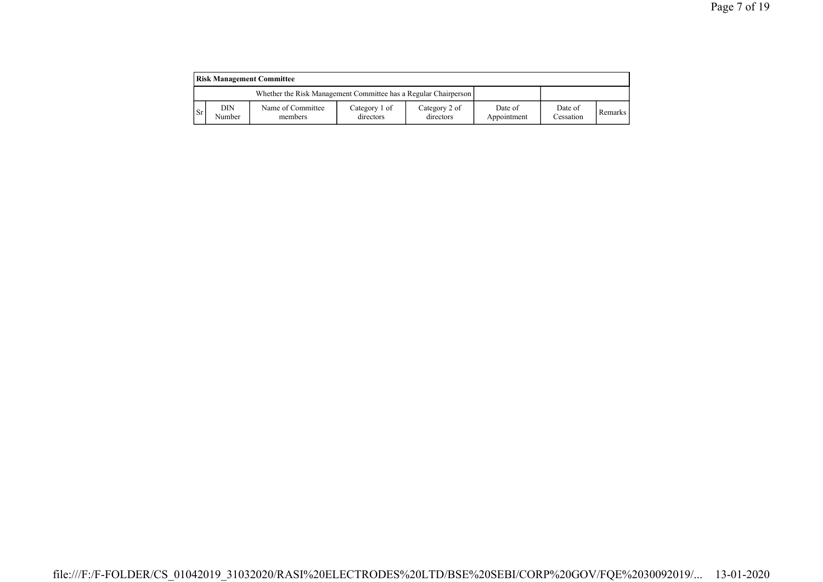| <b>Risk Management Committee</b> |               |                                                                 |                            |                            |                        |                      |                |  |  |  |  |  |
|----------------------------------|---------------|-----------------------------------------------------------------|----------------------------|----------------------------|------------------------|----------------------|----------------|--|--|--|--|--|
|                                  |               | Whether the Risk Management Committee has a Regular Chairperson |                            |                            |                        |                      |                |  |  |  |  |  |
| l Sr                             | DIN<br>Number | Name of Committee<br>members                                    | Category 1 of<br>directors | Category 2 of<br>directors | Date of<br>Appointment | Date of<br>Cessation | <b>Remarks</b> |  |  |  |  |  |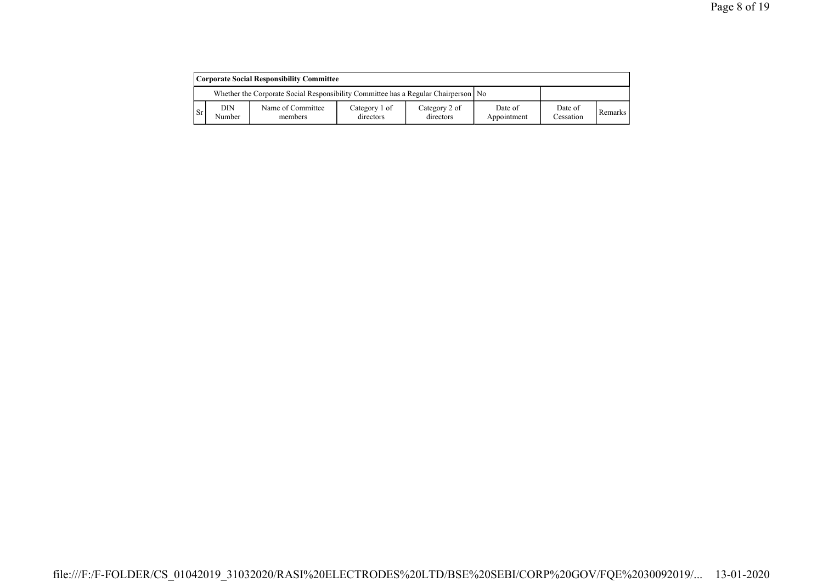| Corporate Social Responsibility Committee |                                                                                      |                              |                            |                            |                        |                      |         |  |  |  |  |  |
|-------------------------------------------|--------------------------------------------------------------------------------------|------------------------------|----------------------------|----------------------------|------------------------|----------------------|---------|--|--|--|--|--|
|                                           | Whether the Corporate Social Responsibility Committee has a Regular Chairperson   No |                              |                            |                            |                        |                      |         |  |  |  |  |  |
| l Sr                                      | DIN<br>Number                                                                        | Name of Committee<br>members | Category 1 of<br>directors | Category 2 of<br>directors | Date of<br>Appointment | Date of<br>Cessation | Remarks |  |  |  |  |  |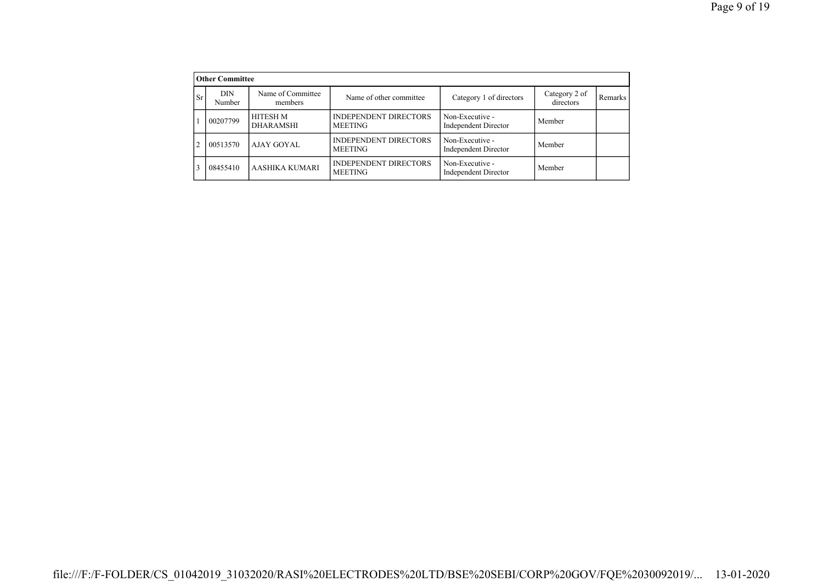|                | <b>Other Committee</b> |                              |                                                |                                                |                            |                |  |  |  |  |  |  |
|----------------|------------------------|------------------------------|------------------------------------------------|------------------------------------------------|----------------------------|----------------|--|--|--|--|--|--|
| <b>Sr</b>      | <b>DIN</b><br>Number   | Name of Committee<br>members | Name of other committee                        | Category 1 of directors                        | Category 2 of<br>directors | <b>Remarks</b> |  |  |  |  |  |  |
|                | 00207799               | HITESH M<br><b>DHARAMSHI</b> | <b>INDEPENDENT DIRECTORS</b><br><b>MEETING</b> | Non-Executive -<br>Independent Director        | Member                     |                |  |  |  |  |  |  |
| $\mathfrak{D}$ | 00513570               | <b>AJAY GOYAL</b>            | <b>INDEPENDENT DIRECTORS</b><br><b>MEETING</b> | Non-Executive -<br>Independent Director        | Member                     |                |  |  |  |  |  |  |
| 3              | 08455410               | AASHIKA KUMARI               | <b>INDEPENDENT DIRECTORS</b><br><b>MEETING</b> | Non-Executive -<br><b>Independent Director</b> | Member                     |                |  |  |  |  |  |  |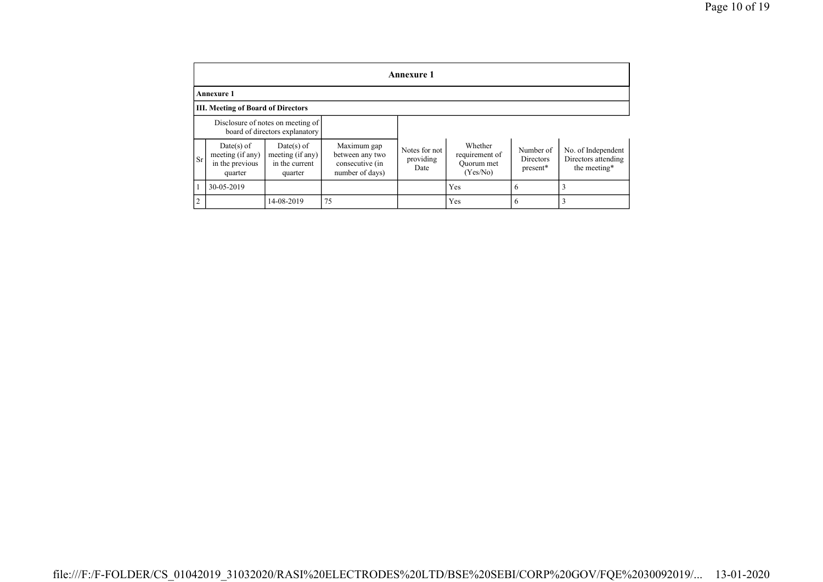|                              | <b>Annexure 1</b>                                                                                                             |                                                                     |                                                                      |                                    |                                                     |                                    |                                                           |  |  |  |  |  |  |  |
|------------------------------|-------------------------------------------------------------------------------------------------------------------------------|---------------------------------------------------------------------|----------------------------------------------------------------------|------------------------------------|-----------------------------------------------------|------------------------------------|-----------------------------------------------------------|--|--|--|--|--|--|--|
|                              | <b>Annexure 1</b>                                                                                                             |                                                                     |                                                                      |                                    |                                                     |                                    |                                                           |  |  |  |  |  |  |  |
|                              | <b>III. Meeting of Board of Directors</b>                                                                                     |                                                                     |                                                                      |                                    |                                                     |                                    |                                                           |  |  |  |  |  |  |  |
|                              |                                                                                                                               | Disclosure of notes on meeting of<br>board of directors explanatory |                                                                      |                                    |                                                     |                                    |                                                           |  |  |  |  |  |  |  |
| <b>Sr</b>                    | Date(s) of<br>$Date(s)$ of<br>meeting (if any)<br>meeting (if any)<br>in the current<br>in the previous<br>quarter<br>quarter |                                                                     | Maximum gap<br>between any two<br>consecutive (in<br>number of days) | Notes for not<br>providing<br>Date | Whether<br>requirement of<br>Ouorum met<br>(Yes/No) | Number of<br>Directors<br>present* | No. of Independent<br>Directors attending<br>the meeting* |  |  |  |  |  |  |  |
| 30-05-2019                   |                                                                                                                               |                                                                     |                                                                      | Yes                                | <sub>(</sub>                                        |                                    |                                                           |  |  |  |  |  |  |  |
| $\overline{c}$<br>14-08-2019 |                                                                                                                               |                                                                     | 75                                                                   |                                    | Yes                                                 | o                                  |                                                           |  |  |  |  |  |  |  |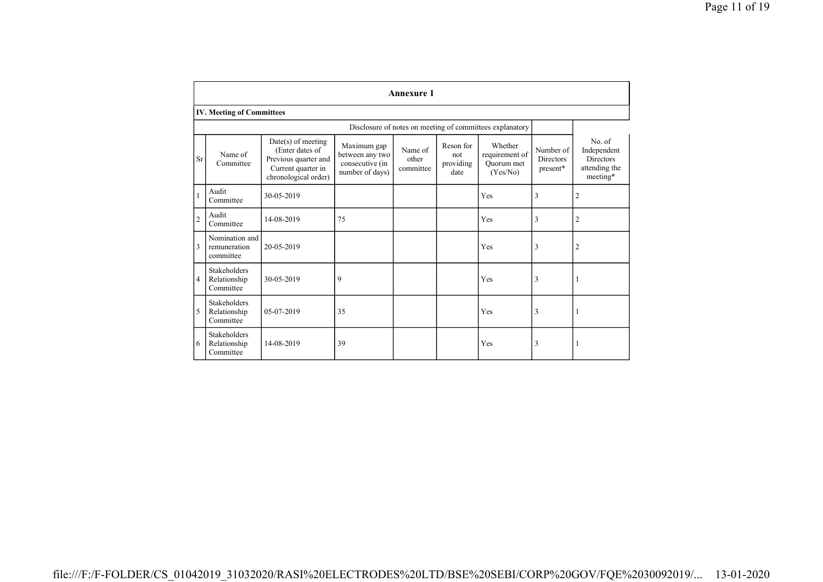|                | <b>Annexure 1</b>                                |                                                                                                               |                                                                      |                               |                                       |                                                          |                                           |                                                                        |  |  |  |  |  |
|----------------|--------------------------------------------------|---------------------------------------------------------------------------------------------------------------|----------------------------------------------------------------------|-------------------------------|---------------------------------------|----------------------------------------------------------|-------------------------------------------|------------------------------------------------------------------------|--|--|--|--|--|
|                | <b>IV. Meeting of Committees</b>                 |                                                                                                               |                                                                      |                               |                                       |                                                          |                                           |                                                                        |  |  |  |  |  |
|                |                                                  |                                                                                                               |                                                                      |                               |                                       | Disclosure of notes on meeting of committees explanatory |                                           |                                                                        |  |  |  |  |  |
| Sr             | Name of<br>Committee                             | $Date(s)$ of meeting<br>(Enter dates of<br>Previous quarter and<br>Current quarter in<br>chronological order) | Maximum gap<br>between any two<br>consecutive (in<br>number of days) | Name of<br>other<br>committee | Reson for<br>not<br>providing<br>date | Whether<br>requirement of<br>Ouorum met<br>(Yes/No)      | Number of<br><b>Directors</b><br>present* | No. of<br>Independent<br><b>Directors</b><br>attending the<br>meeting* |  |  |  |  |  |
|                | Audit<br>Committee                               | 30-05-2019                                                                                                    |                                                                      |                               |                                       | Yes                                                      | 3                                         | $\overline{c}$                                                         |  |  |  |  |  |
| $\overline{2}$ | Audit<br>Committee                               | 14-08-2019                                                                                                    | 75                                                                   |                               |                                       | Yes                                                      | 3                                         | $\overline{2}$                                                         |  |  |  |  |  |
| 3              | Nomination and<br>remuneration<br>committee      | 20-05-2019                                                                                                    |                                                                      |                               |                                       | Yes                                                      | 3                                         | $\overline{2}$                                                         |  |  |  |  |  |
| $\overline{4}$ | <b>Stakeholders</b><br>Relationship<br>Committee | 30-05-2019                                                                                                    | 9                                                                    |                               |                                       | Yes                                                      | 3                                         | -1                                                                     |  |  |  |  |  |
| 5              | <b>Stakeholders</b><br>Relationship<br>Committee | 05-07-2019                                                                                                    | 35                                                                   |                               |                                       | Yes                                                      | 3                                         | -1                                                                     |  |  |  |  |  |
| 6              | Stakeholders<br>Relationship<br>Committee        | 14-08-2019                                                                                                    | 39                                                                   |                               |                                       | Yes                                                      | 3                                         | -1                                                                     |  |  |  |  |  |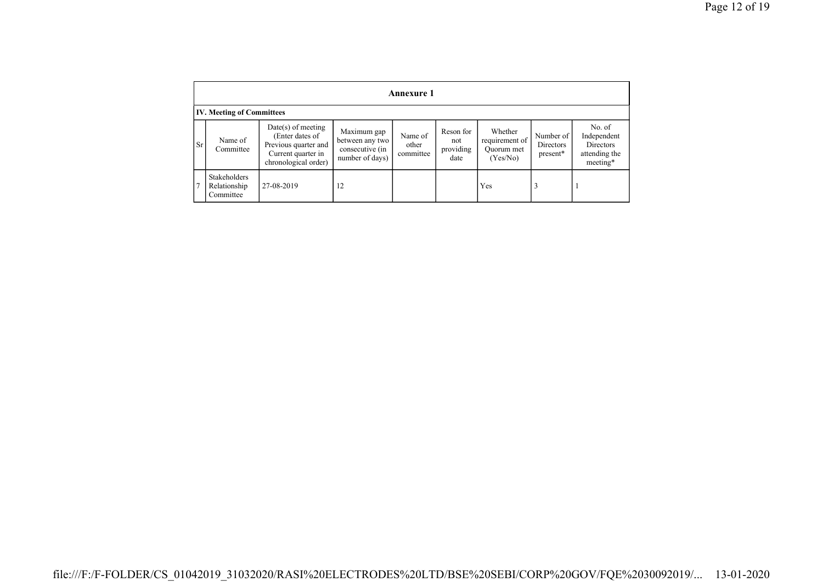|           | <b>Annexure 1</b>                         |                                                                                                               |                                                                      |                               |                                       |                                                       |                                    |                                                                 |  |  |  |  |  |  |
|-----------|-------------------------------------------|---------------------------------------------------------------------------------------------------------------|----------------------------------------------------------------------|-------------------------------|---------------------------------------|-------------------------------------------------------|------------------------------------|-----------------------------------------------------------------|--|--|--|--|--|--|
|           | <b>IV. Meeting of Committees</b>          |                                                                                                               |                                                                      |                               |                                       |                                                       |                                    |                                                                 |  |  |  |  |  |  |
| <b>Sr</b> | Name of<br>Committee                      | $Date(s)$ of meeting<br>(Enter dates of<br>Previous quarter and<br>Current quarter in<br>chronological order) | Maximum gap<br>between any two<br>consecutive (in<br>number of days) | Name of<br>other<br>committee | Reson for<br>not<br>providing<br>date | Whether<br>requirement of 1<br>Ouorum met<br>(Yes/No) | Number of<br>Directors<br>present* | No. of<br>Independent<br>Directors<br>attending the<br>meeting* |  |  |  |  |  |  |
|           | Stakeholders<br>Relationship<br>Committee | 27-08-2019                                                                                                    | 12                                                                   |                               |                                       | Yes                                                   | 3                                  |                                                                 |  |  |  |  |  |  |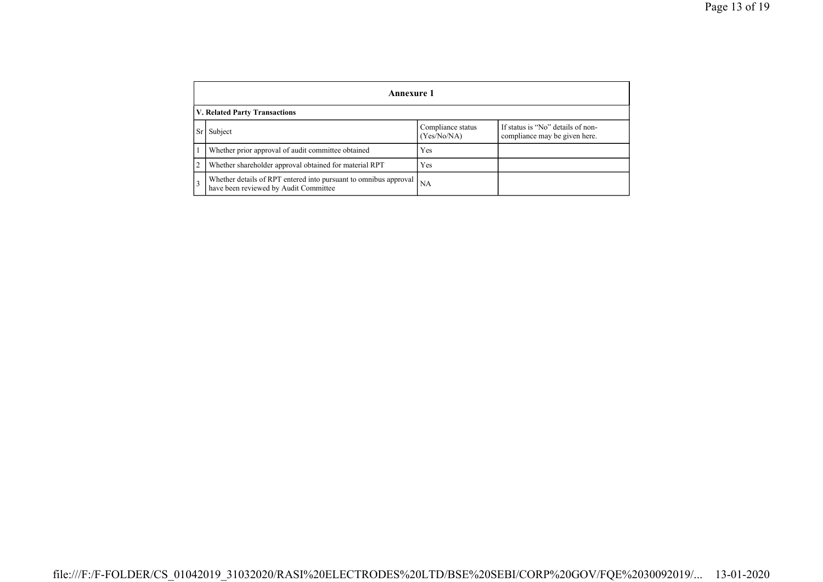|   | Annexure 1                                                                                             |                                  |                                                                    |  |
|---|--------------------------------------------------------------------------------------------------------|----------------------------------|--------------------------------------------------------------------|--|
|   | <b>V. Related Party Transactions</b>                                                                   |                                  |                                                                    |  |
|   | Subject                                                                                                | Compliance status<br>(Yes/No/NA) | If status is "No" details of non-<br>compliance may be given here. |  |
|   | Whether prior approval of audit committee obtained                                                     | Yes                              |                                                                    |  |
| 2 | Whether shareholder approval obtained for material RPT                                                 | Yes                              |                                                                    |  |
| 3 | Whether details of RPT entered into pursuant to omnibus approval have been reviewed by Audit Committee | <b>NA</b>                        |                                                                    |  |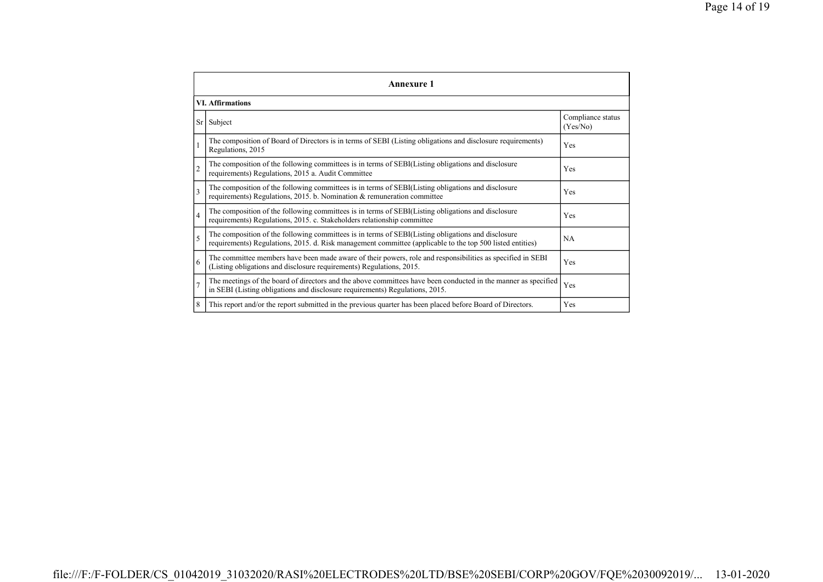|                | <b>Annexure 1</b>                                                                                                                                                                                               |                               |  |  |  |
|----------------|-----------------------------------------------------------------------------------------------------------------------------------------------------------------------------------------------------------------|-------------------------------|--|--|--|
|                | <b>VI. Affirmations</b>                                                                                                                                                                                         |                               |  |  |  |
| Sr             | Subject                                                                                                                                                                                                         | Compliance status<br>(Yes/No) |  |  |  |
|                | The composition of Board of Directors is in terms of SEBI (Listing obligations and disclosure requirements)<br>Regulations, 2015                                                                                | Yes                           |  |  |  |
| $\overline{2}$ | The composition of the following committees is in terms of SEBI(Listing obligations and disclosure<br>requirements) Regulations, 2015 a. Audit Committee                                                        | Yes                           |  |  |  |
| 3              | The composition of the following committees is in terms of SEBI(Listing obligations and disclosure<br>requirements) Regulations, 2015. b. Nomination $\&$ remuneration committee                                | Yes                           |  |  |  |
| 4              | The composition of the following committees is in terms of SEBI(Listing obligations and disclosure<br>requirements) Regulations, 2015. c. Stakeholders relationship committee                                   | Yes                           |  |  |  |
| 5              | The composition of the following committees is in terms of SEBI(Listing obligations and disclosure<br>requirements) Regulations, 2015. d. Risk management committee (applicable to the top 500 listed entities) | <b>NA</b>                     |  |  |  |
| 6              | The committee members have been made aware of their powers, role and responsibilities as specified in SEBI<br>(Listing obligations and disclosure requirements) Regulations, 2015.                              | Yes                           |  |  |  |
|                | The meetings of the board of directors and the above committees have been conducted in the manner as specified<br>in SEBI (Listing obligations and disclosure requirements) Regulations, 2015.                  | Yes                           |  |  |  |
| 8              | This report and/or the report submitted in the previous quarter has been placed before Board of Directors.                                                                                                      | Yes                           |  |  |  |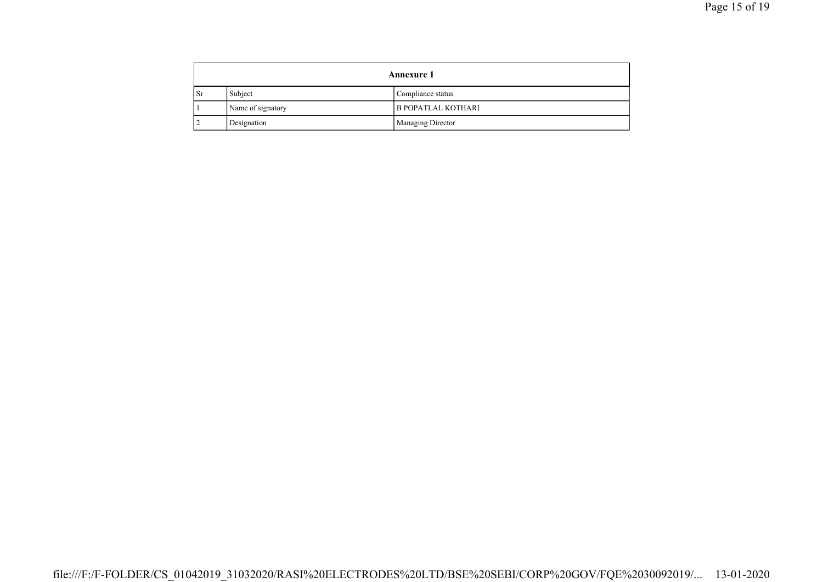|     | <b>Annexure 1</b> |                           |
|-----|-------------------|---------------------------|
| -Sr | Subject           | Compliance status         |
|     | Name of signatory | <b>B POPATLAL KOTHARI</b> |
|     | Designation       | Managing Director         |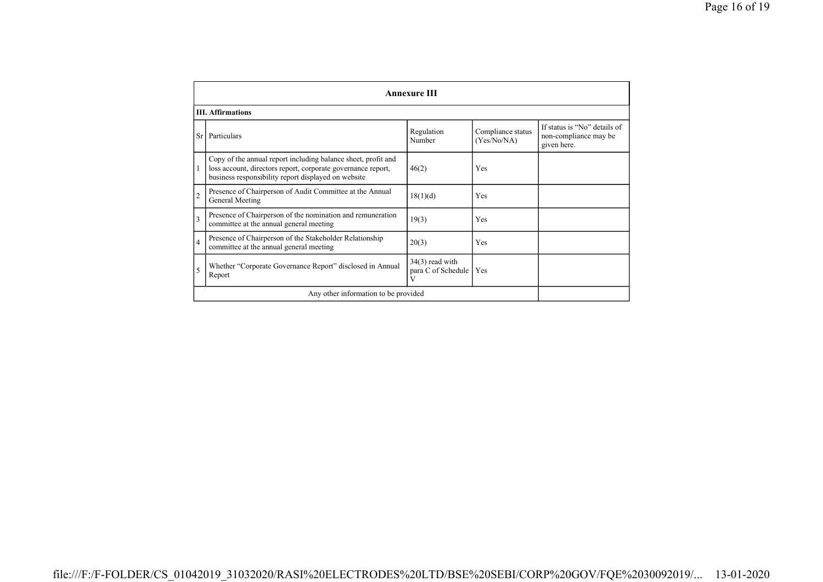|                | <b>Annexure III</b>                                                                                                                                                                  |                                                    |                                  |                                                                      |
|----------------|--------------------------------------------------------------------------------------------------------------------------------------------------------------------------------------|----------------------------------------------------|----------------------------------|----------------------------------------------------------------------|
|                | <b>III.</b> Affirmations                                                                                                                                                             |                                                    |                                  |                                                                      |
| Sr             | Particulars                                                                                                                                                                          | Regulation<br>Number                               | Compliance status<br>(Yes/No/NA) | If status is "No" details of<br>non-compliance may be<br>given here. |
|                | Copy of the annual report including balance sheet, profit and<br>loss account, directors report, corporate governance report,<br>business responsibility report displayed on website | 46(2)                                              | Yes                              |                                                                      |
| $\overline{c}$ | Presence of Chairperson of Audit Committee at the Annual<br>General Meeting                                                                                                          | 18(1)(d)                                           | Yes                              |                                                                      |
| $\overline{3}$ | Presence of Chairperson of the nomination and remuneration<br>committee at the annual general meeting                                                                                | 19(3)                                              | Yes                              |                                                                      |
| $\overline{4}$ | Presence of Chairperson of the Stakeholder Relationship<br>committee at the annual general meeting                                                                                   | 20(3)                                              | Yes                              |                                                                      |
| 5              | Whether "Corporate Governance Report" disclosed in Annual<br>Report                                                                                                                  | $34(3)$ read with<br>para C of Schedule   Yes<br>V |                                  |                                                                      |
|                | Any other information to be provided                                                                                                                                                 |                                                    |                                  |                                                                      |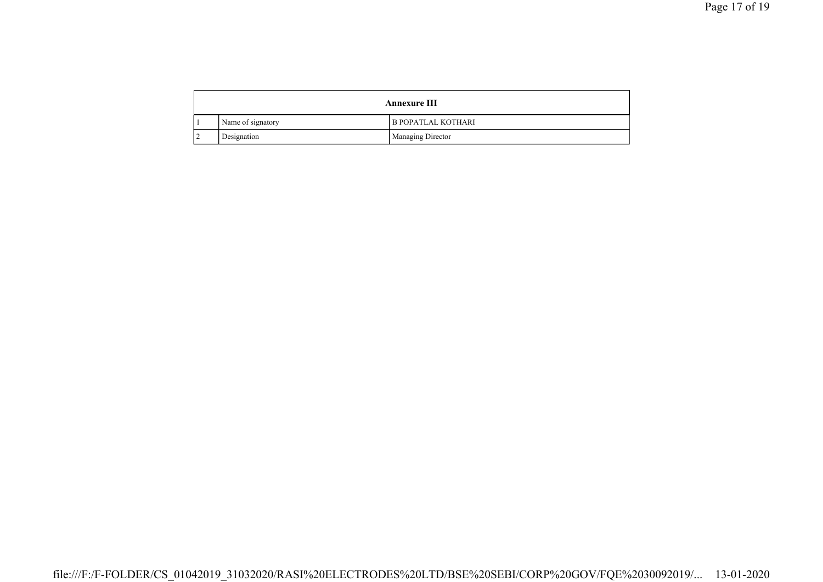|   | <b>Annexure III</b> |                           |
|---|---------------------|---------------------------|
|   | Name of signatory   | <b>B POPATLAL KOTHARI</b> |
| ∸ | Designation         | Managing Director         |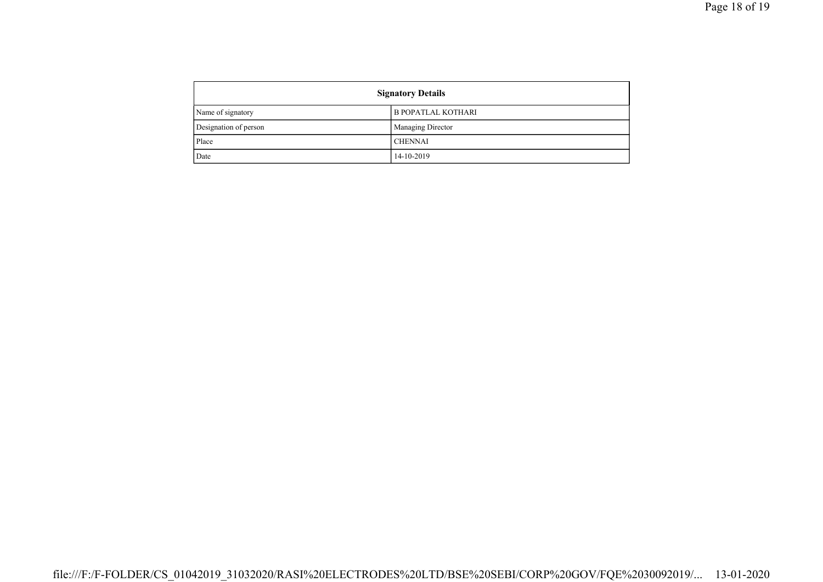| <b>Signatory Details</b> |                      |
|--------------------------|----------------------|
| Name of signatory        | l B POPATLAL KOTHARI |
| Designation of person    | Managing Director    |
| Place                    | <b>CHENNAI</b>       |
| Date                     | 14-10-2019           |